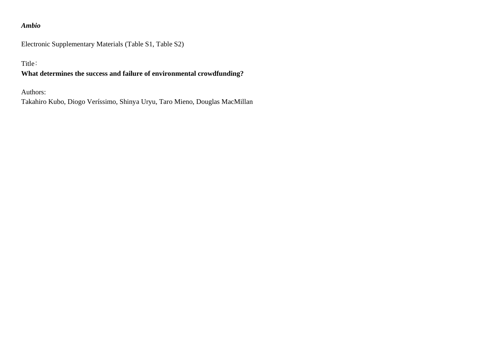## *Ambio*

Electronic Supplementary Materials (Table S1, Table S2)

Title:

## **What determines the success and failure of environmental crowdfunding?**

Authors:

Takahiro Kubo, Diogo Veríssimo, Shinya Uryu, Taro Mieno, Douglas MacMillan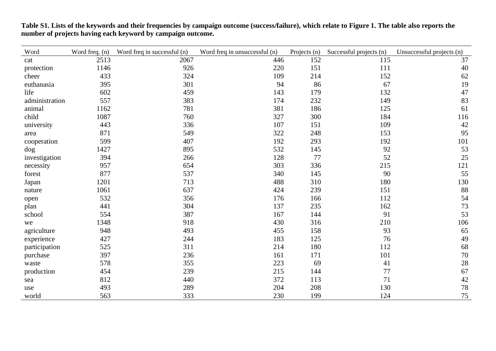| Word           | Word freq. (n) | Word freq in successful (n) | Word freq in unsuccessful (n) | Projects (n) | Successful projects (n) | Unsuccessful projects (n) |
|----------------|----------------|-----------------------------|-------------------------------|--------------|-------------------------|---------------------------|
| cat            | 2513           | 2067                        | 446                           | 152          | 115                     | 37                        |
| protection     | 1146           | 926                         | 220                           | 151          | 111                     | 40                        |
| cheer          | 433            | 324                         | 109                           | 214          | 152                     | 62                        |
| euthanasia     | 395            | 301                         | 94                            | 86           | 67                      | 19                        |
| life           | 602            | 459                         | 143                           | 179          | 132                     | 47                        |
| administration | 557            | 383                         | 174                           | 232          | 149                     | 83                        |
| animal         | 1162           | 781                         | 381                           | 186          | 125                     | 61                        |
| child          | 1087           | 760                         | 327                           | 300          | 184                     | 116                       |
| university     | 443            | 336                         | 107                           | 151          | 109                     | $42\,$                    |
| area           | 871            | 549                         | 322                           | 248          | 153                     | 95                        |
| cooperation    | 599            | 407                         | 192                           | 293          | 192                     | 101                       |
| dog            | 1427           | 895                         | 532                           | 145          | 92                      | 53                        |
| investigation  | 394            | 266                         | 128                           | 77           | 52                      | 25                        |
| necessity      | 957            | 654                         | 303                           | 336          | 215                     | 121                       |
| forest         | 877            | 537                         | 340                           | 145          | 90                      | 55                        |
| Japan          | 1201           | 713                         | 488                           | 310          | 180                     | 130                       |
| nature         | 1061           | 637                         | 424                           | 239          | 151                     | 88                        |
| open           | 532            | 356                         | 176                           | 166          | 112                     | 54                        |
| plan           | 441            | 304                         | 137                           | 235          | 162                     | 73                        |
| school         | 554            | 387                         | 167                           | 144          | 91                      | 53                        |
| we             | 1348           | 918                         | 430                           | 316          | 210                     | 106                       |
| agriculture    | 948            | 493                         | 455                           | 158          | 93                      | 65                        |
| experience     | 427            | 244                         | 183                           | 125          | 76                      | 49                        |
| participation  | 525            | 311                         | 214                           | 180          | 112                     | 68                        |
| purchase       | 397            | 236                         | 161                           | 171          | 101                     | 70                        |
| waste          | 578            | 355                         | 223                           | 69           | 41                      | $28\,$                    |
| production     | 454            | 239                         | 215                           | 144          | 77                      | 67                        |
| sea            | 812            | 440                         | 372                           | 113          | 71                      | $42\,$                    |
| use            | 493            | 289                         | 204                           | 208          | 130                     | 78                        |
| world          | 563            | 333                         | 230                           | 199          | 124                     | 75                        |

**Table S1. Lists of the keywords and their frequencies by campaign outcome (success/failure), which relate to Figure 1. The table also reports the number of projects having each keyword by campaign outcome.**